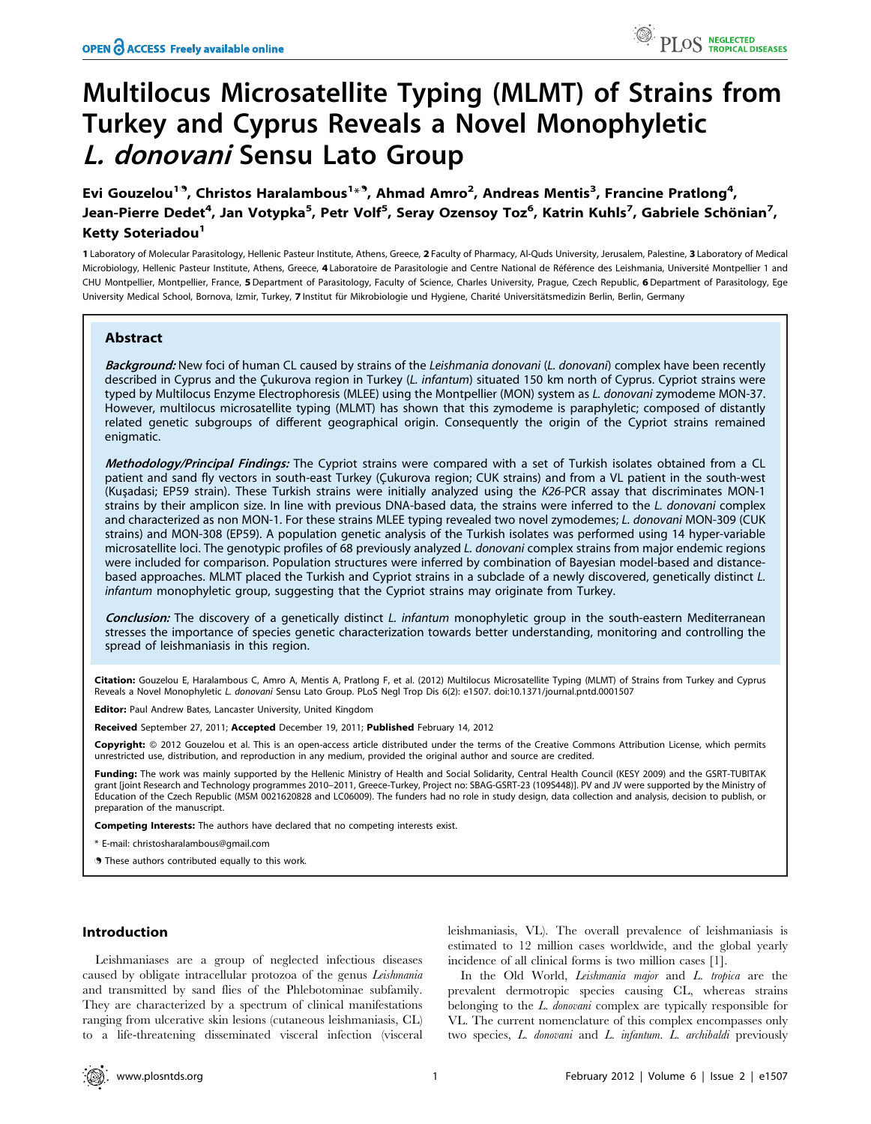# Multilocus Microsatellite Typing (MLMT) of Strains from Turkey and Cyprus Reveals a Novel Monophyletic L. donovani Sensu Lato Group

Evi Gouzelou<sup>19</sup>, Christos Haralambous<sup>1 $\ast$ 9</sup>, Ahmad Amro<sup>2</sup>, Andreas Mentis<sup>3</sup>, Francine Pratlong<sup>4</sup>, Jean-Pierre Dedet<sup>4</sup>, Jan Votypka<sup>5</sup>, Petr Volf<sup>5</sup>, Seray Ozensoy Toz<sup>6</sup>, Katrin Kuhls<sup>7</sup>, Gabriele Schönian<sup>7</sup>, Ketty Soteriadou<sup>1</sup>

1 Laboratory of Molecular Parasitology, Hellenic Pasteur Institute, Athens, Greece, 2 Faculty of Pharmacy, Al-Quds University, Jerusalem, Palestine, 3 Laboratory of Medical Microbiology, Hellenic Pasteur Institute, Athens, Greece, 4 Laboratoire de Parasitologie and Centre National de Référence des Leishmania, Université Montpellier 1 and CHU Montpellier, Montpellier, France, 5 Department of Parasitology, Faculty of Science, Charles University, Prague, Czech Republic, 6 Department of Parasitology, Ege University Medical School, Bornova, Izmir, Turkey, 7 Institut für Mikrobiologie und Hygiene, Charité Universitätsmedizin Berlin, Berlin, Germany

# Abstract

Background: New foci of human CL caused by strains of the Leishmania donovani (L. donovani) complex have been recently described in Cyprus and the Çukurova region in Turkey (L. infantum) situated 150 km north of Cyprus. Cypriot strains were typed by Multilocus Enzyme Electrophoresis (MLEE) using the Montpellier (MON) system as L. donovani zymodeme MON-37. However, multilocus microsatellite typing (MLMT) has shown that this zymodeme is paraphyletic; composed of distantly related genetic subgroups of different geographical origin. Consequently the origin of the Cypriot strains remained enigmatic.

Methodology/Principal Findings: The Cypriot strains were compared with a set of Turkish isolates obtained from a CL patient and sand fly vectors in south-east Turkey (Cukurova region; CUK strains) and from a VL patient in the south-west (Kuşadasi; EP59 strain). These Turkish strains were initially analyzed using the K26-PCR assay that discriminates MON-1 strains by their amplicon size. In line with previous DNA-based data, the strains were inferred to the L. donovani complex and characterized as non MON-1. For these strains MLEE typing revealed two novel zymodemes; L. donovani MON-309 (CUK strains) and MON-308 (EP59). A population genetic analysis of the Turkish isolates was performed using 14 hyper-variable microsatellite loci. The genotypic profiles of 68 previously analyzed L. donovani complex strains from major endemic regions were included for comparison. Population structures were inferred by combination of Bayesian model-based and distancebased approaches. MLMT placed the Turkish and Cypriot strains in a subclade of a newly discovered, genetically distinct L. infantum monophyletic group, suggesting that the Cypriot strains may originate from Turkey.

Conclusion: The discovery of a genetically distinct L. infantum monophyletic group in the south-eastern Mediterranean stresses the importance of species genetic characterization towards better understanding, monitoring and controlling the spread of leishmaniasis in this region.

Citation: Gouzelou E, Haralambous C, Amro A, Mentis A, Pratlong F, et al. (2012) Multilocus Microsatellite Typing (MLMT) of Strains from Turkey and Cyprus Reveals a Novel Monophyletic L. donovani Sensu Lato Group. PLoS Negl Trop Dis 6(2): e1507. doi:10.1371/journal.pntd.0001507

Editor: Paul Andrew Bates, Lancaster University, United Kingdom

Received September 27, 2011; Accepted December 19, 2011; Published February 14, 2012

**Copyright:** © 2012 Gouzelou et al. This is an open-access article distributed under the terms of the Creative Commons Attribution License, which permits unrestricted use, distribution, and reproduction in any medium, provided the original author and source are credited.

Funding: The work was mainly supported by the Hellenic Ministry of Health and Social Solidarity, Central Health Council (KESY 2009) and the GSRT-TUBITAK grant [joint Research and Technology programmes 2010–2011, Greece-Turkey, Project no: SBAG-GSRT-23 (109S448)]. PV and JV were supported by the Ministry of Education of the Czech Republic (MSM 0021620828 and LC06009). The funders had no role in study design, data collection and analysis, decision to publish, or preparation of the manuscript.

Competing Interests: The authors have declared that no competing interests exist.

\* E-mail: christosharalambous@gmail.com

**.** These authors contributed equally to this work.

# Introduction

Leishmaniases are a group of neglected infectious diseases caused by obligate intracellular protozoa of the genus Leishmania and transmitted by sand flies of the Phlebotominae subfamily. They are characterized by a spectrum of clinical manifestations ranging from ulcerative skin lesions (cutaneous leishmaniasis, CL) to a life-threatening disseminated visceral infection (visceral

leishmaniasis, VL). The overall prevalence of leishmaniasis is estimated to 12 million cases worldwide, and the global yearly incidence of all clinical forms is two million cases [1].

In the Old World, *Leishmania major* and *L. tropica* are the prevalent dermotropic species causing CL, whereas strains belonging to the L. donovani complex are typically responsible for VL. The current nomenclature of this complex encompasses only two species, L. donovani and L. infantum. L. archibaldi previously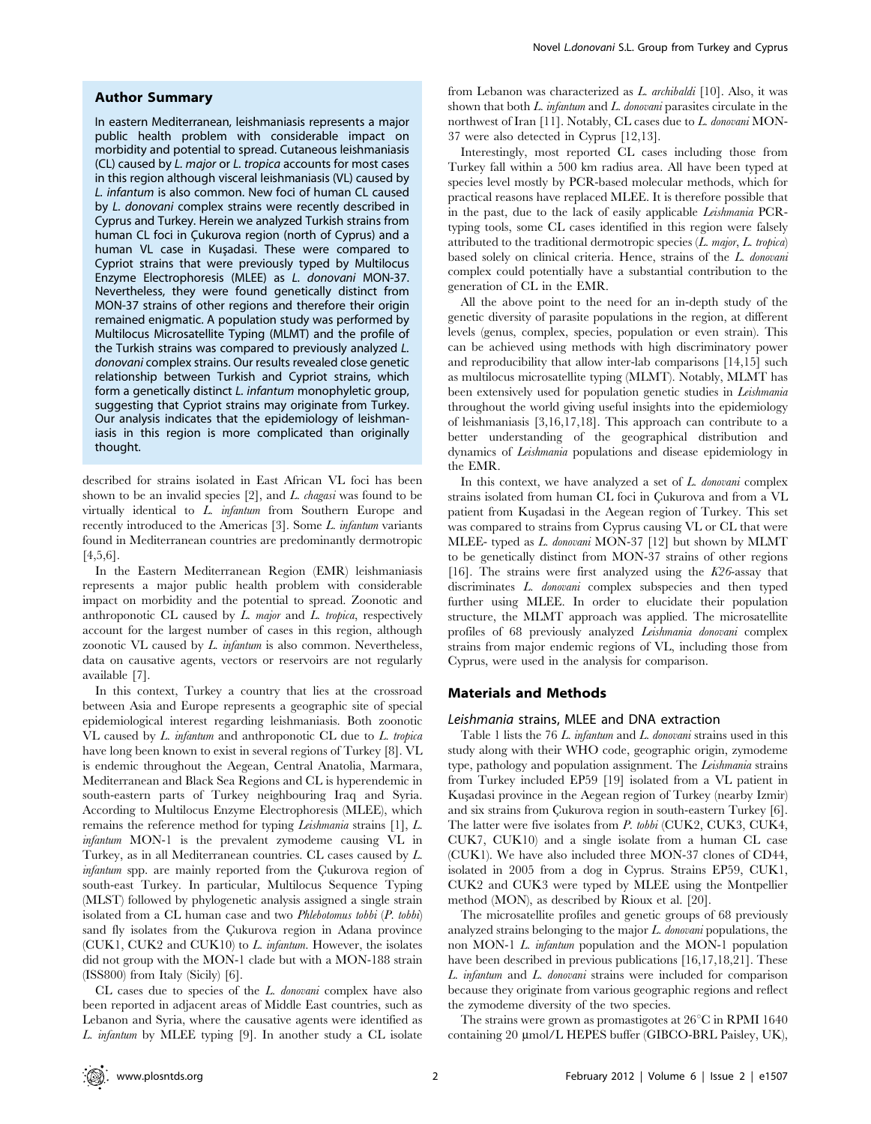# Author Summary

In eastern Mediterranean, leishmaniasis represents a major public health problem with considerable impact on morbidity and potential to spread. Cutaneous leishmaniasis (CL) caused by L. major or L. tropica accounts for most cases in this region although visceral leishmaniasis (VL) caused by L. infantum is also common. New foci of human CL caused by L. donovani complex strains were recently described in Cyprus and Turkey. Herein we analyzed Turkish strains from human CL foci in Çukurova region (north of Cyprus) and a human VL case in Kuşadasi. These were compared to Cypriot strains that were previously typed by Multilocus Enzyme Electrophoresis (MLEE) as L. donovani MON-37. Nevertheless, they were found genetically distinct from MON-37 strains of other regions and therefore their origin remained enigmatic. A population study was performed by Multilocus Microsatellite Typing (MLMT) and the profile of the Turkish strains was compared to previously analyzed L. donovani complex strains. Our results revealed close genetic relationship between Turkish and Cypriot strains, which form a genetically distinct L. infantum monophyletic group, suggesting that Cypriot strains may originate from Turkey. Our analysis indicates that the epidemiology of leishmaniasis in this region is more complicated than originally thought.

described for strains isolated in East African VL foci has been shown to be an invalid species  $[2]$ , and L. chagasi was found to be virtually identical to L. infantum from Southern Europe and recently introduced to the Americas [3]. Some L. infantum variants found in Mediterranean countries are predominantly dermotropic [4,5,6].

In the Eastern Mediterranean Region (EMR) leishmaniasis represents a major public health problem with considerable impact on morbidity and the potential to spread. Zoonotic and anthroponotic CL caused by  $L$  major and  $L$  tropica, respectively account for the largest number of cases in this region, although zoonotic VL caused by L. infantum is also common. Nevertheless, data on causative agents, vectors or reservoirs are not regularly available [7].

In this context, Turkey a country that lies at the crossroad between Asia and Europe represents a geographic site of special epidemiological interest regarding leishmaniasis. Both zoonotic VL caused by L. infantum and anthroponotic CL due to L. tropica have long been known to exist in several regions of Turkey [8]. VL is endemic throughout the Aegean, Central Anatolia, Marmara, Mediterranean and Black Sea Regions and CL is hyperendemic in south-eastern parts of Turkey neighbouring Iraq and Syria. According to Multilocus Enzyme Electrophoresis (MLEE), which remains the reference method for typing *Leishmania* strains [1], *L*. infantum MON-1 is the prevalent zymodeme causing VL in Turkey, as in all Mediterranean countries. CL cases caused by L. infantum spp. are mainly reported from the Çukurova region of south-east Turkey. In particular, Multilocus Sequence Typing (MLST) followed by phylogenetic analysis assigned a single strain isolated from a CL human case and two Phlebotomus tobbi (P. tobbi) sand fly isolates from the Çukurova region in Adana province (CUK1, CUK2 and CUK10) to L. infantum. However, the isolates did not group with the MON-1 clade but with a MON-188 strain (ISS800) from Italy (Sicily) [6].

CL cases due to species of the L. donovani complex have also been reported in adjacent areas of Middle East countries, such as Lebanon and Syria, where the causative agents were identified as L. infantum by MLEE typing [9]. In another study a CL isolate

from Lebanon was characterized as L. archibaldi [10]. Also, it was shown that both  $L$ . infantum and  $L$ . donovani parasites circulate in the northwest of Iran [11]. Notably, CL cases due to L. donovani MON-37 were also detected in Cyprus [12,13].

Interestingly, most reported CL cases including those from Turkey fall within a 500 km radius area. All have been typed at species level mostly by PCR-based molecular methods, which for practical reasons have replaced MLEE. It is therefore possible that in the past, due to the lack of easily applicable Leishmania PCRtyping tools, some CL cases identified in this region were falsely attributed to the traditional dermotropic species  $(L.$  major,  $L.$  tropica) based solely on clinical criteria. Hence, strains of the L. donovani complex could potentially have a substantial contribution to the generation of CL in the EMR.

All the above point to the need for an in-depth study of the genetic diversity of parasite populations in the region, at different levels (genus, complex, species, population or even strain). This can be achieved using methods with high discriminatory power and reproducibility that allow inter-lab comparisons [14,15] such as multilocus microsatellite typing (MLMT). Notably, MLMT has been extensively used for population genetic studies in Leishmania throughout the world giving useful insights into the epidemiology of leishmaniasis [3,16,17,18]. This approach can contribute to a better understanding of the geographical distribution and dynamics of Leishmania populations and disease epidemiology in the EMR.

In this context, we have analyzed a set of  $L$ . *donovani* complex strains isolated from human CL foci in Cukurova and from a VL patient from Kus¸adasi in the Aegean region of Turkey. This set was compared to strains from Cyprus causing VL or CL that were MLEE- typed as L. donovani MON-37 [12] but shown by MLMT to be genetically distinct from MON-37 strains of other regions [16]. The strains were first analyzed using the  $K26$ -assay that discriminates L. donovani complex subspecies and then typed further using MLEE. In order to elucidate their population structure, the MLMT approach was applied. The microsatellite profiles of 68 previously analyzed Leishmania donovani complex strains from major endemic regions of VL, including those from Cyprus, were used in the analysis for comparison.

# Materials and Methods

# Leishmania strains, MLEE and DNA extraction

Table 1 lists the 76 L. infantum and L. donovani strains used in this study along with their WHO code, geographic origin, zymodeme type, pathology and population assignment. The Leishmania strains from Turkey included EP59 [19] isolated from a VL patient in Kusadasi province in the Aegean region of Turkey (nearby Izmir) and six strains from Çukurova region in south-eastern Turkey [6]. The latter were five isolates from P. tobbi (CUK2, CUK3, CUK4, CUK7, CUK10) and a single isolate from a human CL case (CUK1). We have also included three MON-37 clones of CD44, isolated in 2005 from a dog in Cyprus. Strains EP59, CUK1, CUK2 and CUK3 were typed by MLEE using the Montpellier method (MON), as described by Rioux et al. [20].

The microsatellite profiles and genetic groups of 68 previously analyzed strains belonging to the major L. donovani populations, the non MON-1 L. infantum population and the MON-1 population have been described in previous publications [16,17,18,21]. These L. infantum and L. donovani strains were included for comparison because they originate from various geographic regions and reflect the zymodeme diversity of the two species.

The strains were grown as promastigotes at  $26^{\circ}\text{C}$  in RPMI 1640 containing 20 µmol/L HEPES buffer (GIBCO-BRL Paisley, UK),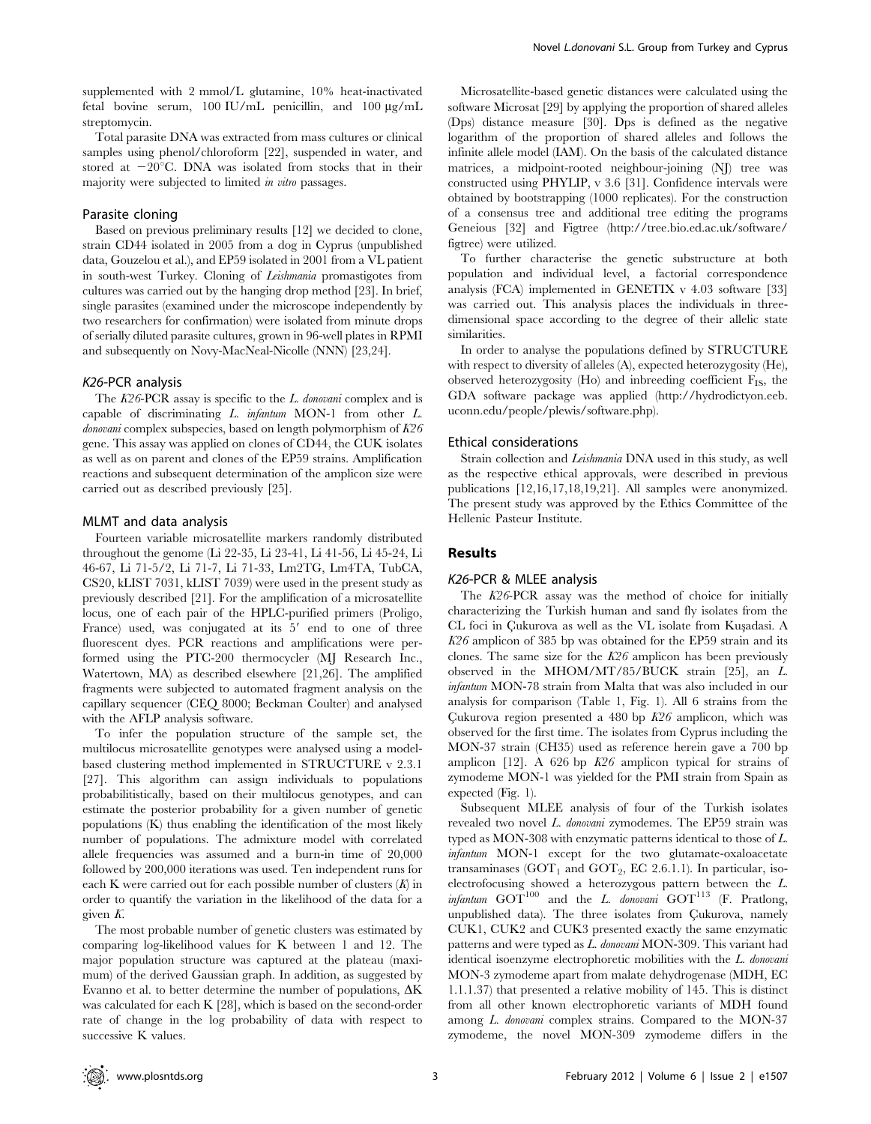supplemented with 2 mmol/L glutamine, 10% heat-inactivated fetal bovine serum,  $100$  IU/mL penicillin, and  $100 \mu g/mL$ streptomycin.

Total parasite DNA was extracted from mass cultures or clinical samples using phenol/chloroform [22], suspended in water, and stored at  $-20^{\circ}$ C. DNA was isolated from stocks that in their majority were subjected to limited *in vitro* passages.

# Parasite cloning

Based on previous preliminary results [12] we decided to clone, strain CD44 isolated in 2005 from a dog in Cyprus (unpublished data, Gouzelou et al.), and EP59 isolated in 2001 from a VL patient in south-west Turkey. Cloning of Leishmania promastigotes from cultures was carried out by the hanging drop method [23]. In brief, single parasites (examined under the microscope independently by two researchers for confirmation) were isolated from minute drops of serially diluted parasite cultures, grown in 96-well plates in RPMI and subsequently on Novy-MacNeal-Nicolle (NNN) [23,24].

## K26-PCR analysis

The K26-PCR assay is specific to the L. donovani complex and is capable of discriminating L. infantum MON-1 from other L.  $donovani$  complex subspecies, based on length polymorphism of  $K26$ gene. This assay was applied on clones of CD44, the CUK isolates as well as on parent and clones of the EP59 strains. Amplification reactions and subsequent determination of the amplicon size were carried out as described previously [25].

#### MLMT and data analysis

Fourteen variable microsatellite markers randomly distributed throughout the genome (Li 22-35, Li 23-41, Li 41-56, Li 45-24, Li 46-67, Li 71-5/2, Li 71-7, Li 71-33, Lm2TG, Lm4TA, TubCA, CS20, kLIST 7031, kLIST 7039) were used in the present study as previously described [21]. For the amplification of a microsatellite locus, one of each pair of the HPLC-purified primers (Proligo, France) used, was conjugated at its  $5'$  end to one of three fluorescent dyes. PCR reactions and amplifications were performed using the PTC-200 thermocycler (MJ Research Inc., Watertown, MA) as described elsewhere [21,26]. The amplified fragments were subjected to automated fragment analysis on the capillary sequencer (CEQ 8000; Beckman Coulter) and analysed with the AFLP analysis software.

To infer the population structure of the sample set, the multilocus microsatellite genotypes were analysed using a modelbased clustering method implemented in STRUCTURE v 2.3.1 [27]. This algorithm can assign individuals to populations probabilitistically, based on their multilocus genotypes, and can estimate the posterior probability for a given number of genetic populations (K) thus enabling the identification of the most likely number of populations. The admixture model with correlated allele frequencies was assumed and a burn-in time of 20,000 followed by 200,000 iterations was used. Ten independent runs for each K were carried out for each possible number of clusters  $(K)$  in order to quantify the variation in the likelihood of the data for a given K.

The most probable number of genetic clusters was estimated by comparing log-likelihood values for K between 1 and 12. The major population structure was captured at the plateau (maximum) of the derived Gaussian graph. In addition, as suggested by Evanno et al. to better determine the number of populations,  $\Delta K$ was calculated for each K [28], which is based on the second-order rate of change in the log probability of data with respect to successive K values.

Microsatellite-based genetic distances were calculated using the software Microsat [29] by applying the proportion of shared alleles (Dps) distance measure [30]. Dps is defined as the negative logarithm of the proportion of shared alleles and follows the infinite allele model (IAM). On the basis of the calculated distance matrices, a midpoint-rooted neighbour-joining (NJ) tree was constructed using PHYLIP, v 3.6 [31]. Confidence intervals were obtained by bootstrapping (1000 replicates). For the construction of a consensus tree and additional tree editing the programs Geneious [32] and Figtree (http://tree.bio.ed.ac.uk/software/ figtree) were utilized.

To further characterise the genetic substructure at both population and individual level, a factorial correspondence analysis (FCA) implemented in GENETIX v 4.03 software [33] was carried out. This analysis places the individuals in threedimensional space according to the degree of their allelic state similarities.

In order to analyse the populations defined by STRUCTURE with respect to diversity of alleles (A), expected heterozygosity (He), observed heterozygosity (Ho) and inbreeding coefficient  $F_{IS}$ , the GDA software package was applied (http://hydrodictyon.eeb. uconn.edu/people/plewis/software.php).

## Ethical considerations

Strain collection and Leishmania DNA used in this study, as well as the respective ethical approvals, were described in previous publications [12,16,17,18,19,21]. All samples were anonymized. The present study was approved by the Ethics Committee of the Hellenic Pasteur Institute.

## Results

## K26-PCR & MLEE analysis

The K26-PCR assay was the method of choice for initially characterizing the Turkish human and sand fly isolates from the CL foci in Cukurova as well as the VL isolate from Kusadasi. A  $K26$  amplicon of 385 bp was obtained for the EP59 strain and its clones. The same size for the  $K26$  amplicon has been previously observed in the MHOM/MT/85/BUCK strain [25], an L. infantum MON-78 strain from Malta that was also included in our analysis for comparison (Table 1, Fig. 1). All 6 strains from the Çukurova region presented a 480 bp  $K26$  amplicon, which was observed for the first time. The isolates from Cyprus including the MON-37 strain (CH35) used as reference herein gave a 700 bp amplicon [12]. A 626 bp  $K26$  amplicon typical for strains of zymodeme MON-1 was yielded for the PMI strain from Spain as expected (Fig. 1).

Subsequent MLEE analysis of four of the Turkish isolates revealed two novel L. donovani zymodemes. The EP59 strain was typed as MON-308 with enzymatic patterns identical to those of L. infantum MON-1 except for the two glutamate-oxaloacetate transaminases  $(GOT<sub>1</sub>$  and  $GOT<sub>2</sub>$ , EC 2.6.1.1). In particular, isoelectrofocusing showed a heterozygous pattern between the L. infantum  $GOT^{100}$  and the L. donovani  $GOT^{113}$  (F. Pratlong, unpublished data). The three isolates from Çukurova, namely CUK1, CUK2 and CUK3 presented exactly the same enzymatic patterns and were typed as L. donovani MON-309. This variant had identical isoenzyme electrophoretic mobilities with the L. donovani MON-3 zymodeme apart from malate dehydrogenase (MDH, EC 1.1.1.37) that presented a relative mobility of 145. This is distinct from all other known electrophoretic variants of MDH found among L. donovani complex strains. Compared to the MON-37 zymodeme, the novel MON-309 zymodeme differs in the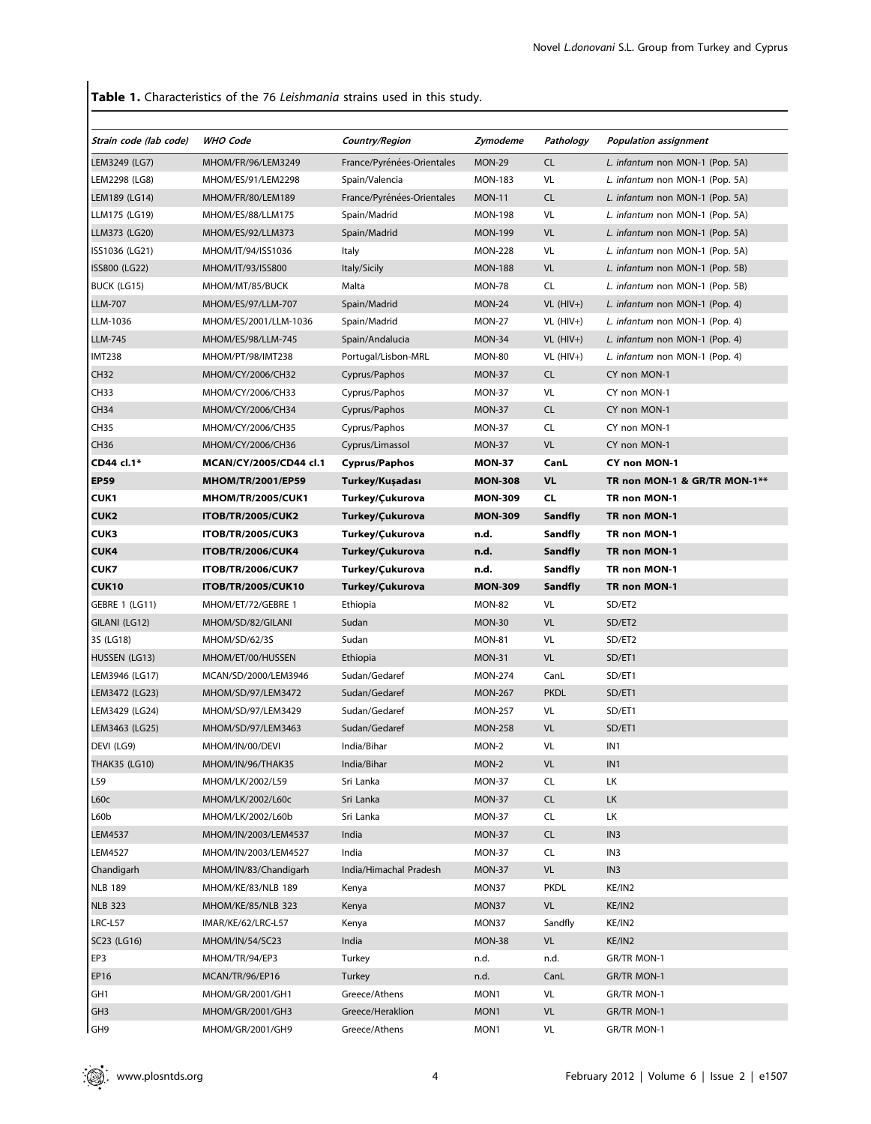Table 1. Characteristics of the 76 Leishmania strains used in this study.

| Strain code (lab code) | <b>WHO Code</b>                             | <b>Country/Region</b>      | Zymodeme       | Pathology                 | <b>Population assignment</b>    |  |
|------------------------|---------------------------------------------|----------------------------|----------------|---------------------------|---------------------------------|--|
| LEM3249 (LG7)          | MHOM/FR/96/LEM3249                          | France/Pyrénées-Orientales | <b>MON-29</b>  | <b>CL</b>                 | L. infantum non MON-1 (Pop. 5A) |  |
| LEM2298 (LG8)          | MHOM/ES/91/LEM2298                          | Spain/Valencia             | <b>MON-183</b> | VL                        | L. infantum non MON-1 (Pop. 5A) |  |
| LEM189 (LG14)          | MHOM/FR/80/LEM189                           | France/Pyrénées-Orientales | <b>MON-11</b>  | <b>CL</b>                 | L. infantum non MON-1 (Pop. 5A) |  |
| LLM175 (LG19)          | MHOM/ES/88/LLM175                           | Spain/Madrid               | <b>MON-198</b> | VL                        | L. infantum non MON-1 (Pop. 5A) |  |
| LLM373 (LG20)          | MHOM/ES/92/LLM373                           | Spain/Madrid               | <b>MON-199</b> | <b>VL</b>                 | L. infantum non MON-1 (Pop. 5A) |  |
| ISS1036 (LG21)         | MHOM/IT/94/ISS1036                          | Italy                      | <b>MON-228</b> | VL                        | L. infantum non MON-1 (Pop. 5A) |  |
| ISS800 (LG22)          | MHOM/IT/93/ISS800                           | Italy/Sicily               | <b>MON-188</b> | <b>VL</b>                 | L. infantum non MON-1 (Pop. 5B) |  |
| BUCK (LG15)            | MHOM/MT/85/BUCK                             | Malta                      | <b>MON-78</b>  | CL                        | L. infantum non MON-1 (Pop. 5B) |  |
| <b>LLM-707</b>         | MHOM/ES/97/LLM-707                          | Spain/Madrid               | <b>MON-24</b>  | $VL(HIV+)$                | L. infantum non MON-1 (Pop. 4)  |  |
| LLM-1036               | MHOM/ES/2001/LLM-1036                       | Spain/Madrid               | <b>MON-27</b>  | $VL$ (HIV+)               | L. infantum non MON-1 (Pop. 4)  |  |
| <b>LLM-745</b>         | MHOM/ES/98/LLM-745                          | Spain/Andalucia            | MON-34         | $VL$ (HIV+)               | L. infantum non MON-1 (Pop. 4)  |  |
| <b>IMT238</b>          | MHOM/PT/98/IMT238                           | Portugal/Lisbon-MRL        | <b>MON-80</b>  | $VL$ (HIV+)               | L. infantum non MON-1 (Pop. 4)  |  |
| <b>CH32</b>            | MHOM/CY/2006/CH32                           | Cyprus/Paphos              | <b>MON-37</b>  | <b>CL</b>                 | CY non MON-1                    |  |
| <b>CH33</b>            | MHOM/CY/2006/CH33                           | Cyprus/Paphos              | <b>MON-37</b>  | VL<br>CY non MON-1        |                                 |  |
| <b>CH34</b>            | MHOM/CY/2006/CH34                           | Cyprus/Paphos              | <b>MON-37</b>  | <b>CL</b><br>CY non MON-1 |                                 |  |
| <b>CH35</b>            | MHOM/CY/2006/CH35                           | Cyprus/Paphos              | <b>MON-37</b>  | <b>CL</b>                 | CY non MON-1                    |  |
| <b>CH36</b>            | MHOM/CY/2006/CH36                           | Cyprus/Limassol            | <b>MON-37</b>  | <b>VL</b>                 | CY non MON-1                    |  |
| CD44 cl.1*             | MCAN/CY/2005/CD44 cl.1                      | <b>Cyprus/Paphos</b>       | <b>MON-37</b>  | CanL                      | CY non MON-1                    |  |
| <b>EP59</b>            | <b>MHOM/TR/2001/EP59</b>                    | Turkey/Kuşadası            | <b>MON-308</b> | <b>VL</b>                 | TR non MON-1 & GR/TR MON-1**    |  |
| <b>CUK1</b>            | <b>MHOM/TR/2005/CUK1</b>                    | Turkey/Çukurova            | <b>MON-309</b> | <b>CL</b>                 | TR non MON-1                    |  |
| CUK2                   | <b>ITOB/TR/2005/CUK2</b>                    | Turkey/Çukurova            | <b>MON-309</b> | <b>Sandfly</b>            | TR non MON-1                    |  |
| CUK3                   | <b>ITOB/TR/2005/CUK3</b>                    | Turkey/Cukurova            | n.d.           | Sandfly                   | TR non MON-1                    |  |
| <b>CUK4</b>            | <b>ITOB/TR/2006/CUK4</b>                    | Turkey/Çukurova            | n.d.           | <b>Sandfly</b>            | TR non MON-1                    |  |
| <b>CUK7</b>            | <b>ITOB/TR/2006/CUK7</b>                    | Turkey/Çukurova            | n.d.           | Sandfly                   | TR non MON-1                    |  |
| <b>CUK10</b>           | <b>ITOB/TR/2005/CUK10</b>                   | Turkey/Çukurova            | <b>MON-309</b> | <b>Sandfly</b>            | TR non MON-1                    |  |
| <b>GEBRE 1 (LG11)</b>  | MHOM/ET/72/GEBRE 1                          | Ethiopia                   | <b>MON-82</b>  | VL                        | SD/ET2                          |  |
| GILANI (LG12)          | MHOM/SD/82/GILANI                           | Sudan                      | <b>MON-30</b>  | <b>VL</b>                 | SD/ET2                          |  |
| 3S (LG18)              | MHOM/SD/62/3S                               | Sudan                      | <b>MON-81</b>  | VL                        | SD/ET2                          |  |
| HUSSEN (LG13)          | MHOM/ET/00/HUSSEN                           | Ethiopia                   | <b>MON-31</b>  | <b>VL</b>                 | SD/ET1                          |  |
| LEM3946 (LG17)         | MCAN/SD/2000/LEM3946                        | Sudan/Gedaref              | <b>MON-274</b> | CanL                      | SD/ET1                          |  |
| LEM3472 (LG23)         | MHOM/SD/97/LEM3472                          | Sudan/Gedaref              | <b>MON-267</b> | <b>PKDL</b>               | SD/ET1                          |  |
| LEM3429 (LG24)         | MHOM/SD/97/LEM3429                          | Sudan/Gedaref              | <b>MON-257</b> | VL                        | SD/ET1                          |  |
| LEM3463 (LG25)         | MHOM/SD/97/LEM3463                          | Sudan/Gedaref              | <b>MON-258</b> | <b>VL</b>                 | SD/ET1                          |  |
| DEVI (LG9)             | MHOM/IN/00/DEVI                             | India/Bihar                | MON-2          | VL                        | IN1                             |  |
| THAK35 (LG10)          | MHOM/IN/96/THAK35                           | India/Bihar                | MON-2          | VL                        | IN <sub>1</sub>                 |  |
| L59                    | MHOM/LK/2002/L59                            | Sri Lanka                  | <b>MON-37</b>  | CL                        | LК                              |  |
| L60c                   | MHOM/LK/2002/L60c                           | Sri Lanka                  | <b>MON-37</b>  | CL                        | <b>LK</b>                       |  |
| L60b                   | MHOM/LK/2002/L60b                           | Sri Lanka                  | MON-37         | CL                        | LК                              |  |
| <b>LEM4537</b>         | MHOM/IN/2003/LEM4537                        | India                      | <b>MON-37</b>  | CL                        | IN <sub>3</sub>                 |  |
| <b>LEM4527</b>         | MHOM/IN/2003/LEM4527                        | India                      | <b>MON-37</b>  | CL                        | IN <sub>3</sub>                 |  |
|                        |                                             | India/Himachal Pradesh     |                | <b>VL</b>                 | IN <sub>3</sub>                 |  |
| Chandigarh             | MHOM/IN/83/Chandigarh<br>MHOM/KE/83/NLB 189 |                            | <b>MON-37</b>  |                           |                                 |  |
| <b>NLB 189</b>         | MHOM/KE/85/NLB 323                          | Kenya                      | MON37          | <b>PKDL</b><br><b>VL</b>  | KE/IN2                          |  |
| <b>NLB 323</b>         |                                             | Kenya                      | MON37          |                           | KE/IN2                          |  |
| LRC-L57                | IMAR/KE/62/LRC-L57                          | Kenya                      | MON37          | Sandfly                   | KE/IN2                          |  |
| SC23 (LG16)            | MHOM/IN/54/SC23                             | India                      | <b>MON-38</b>  | VL                        | KE/IN2                          |  |
| EP3                    | MHOM/TR/94/EP3                              | Turkey                     | n.d.           | n.d.                      | GR/TR MON-1                     |  |
| EP16                   | MCAN/TR/96/EP16                             | Turkey                     | n.d.           | CanL                      | GR/TR MON-1                     |  |
| GH1                    | MHOM/GR/2001/GH1                            | Greece/Athens              | MON1           | VL                        | GR/TR MON-1                     |  |
| GH <sub>3</sub>        | MHOM/GR/2001/GH3                            | Greece/Heraklion           | MON1           | <b>VL</b>                 | GR/TR MON-1                     |  |
| GH9                    | MHOM/GR/2001/GH9                            | Greece/Athens              | MON1           | VL                        | GR/TR MON-1                     |  |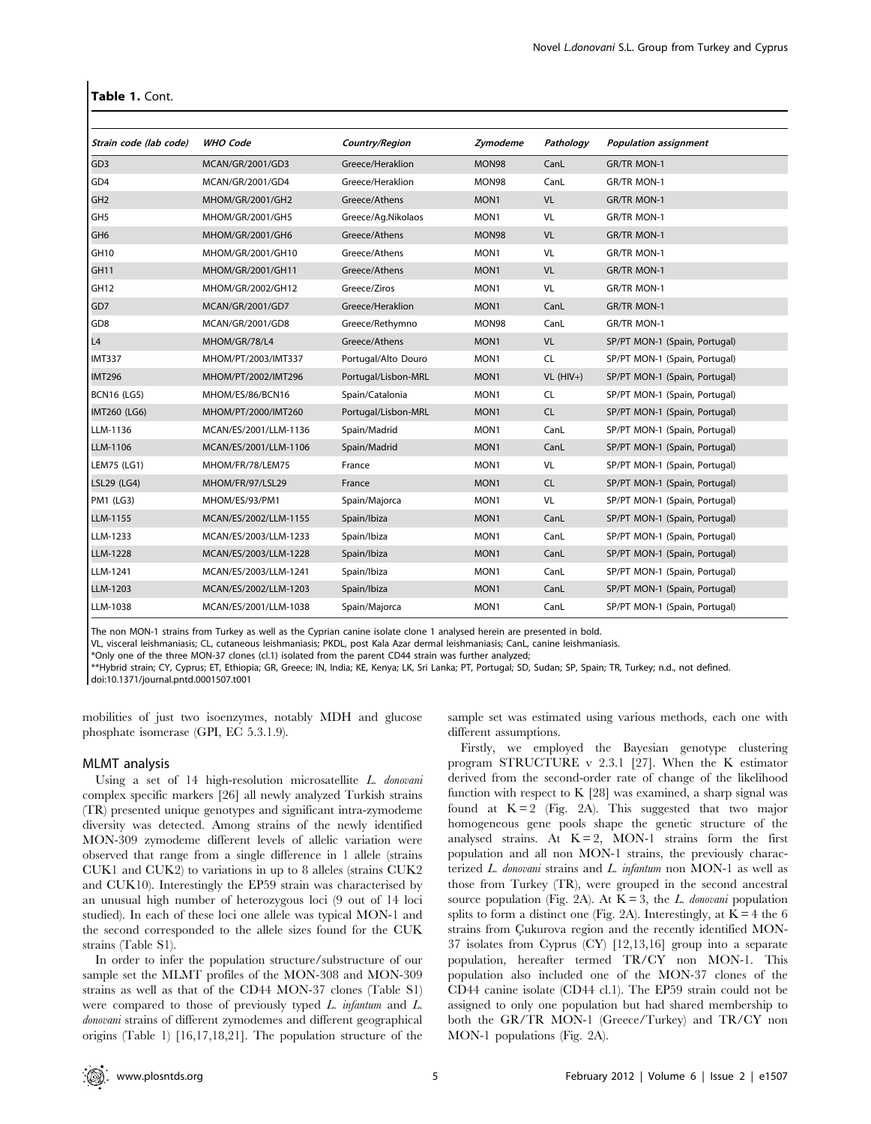#### Table 1. Cont.

| Strain code (lab code) | <b>WHO Code</b>       | <b>Country/Region</b> | Zymodeme         | Pathology  | <b>Population assignment</b>  |
|------------------------|-----------------------|-----------------------|------------------|------------|-------------------------------|
| GD <sub>3</sub>        | MCAN/GR/2001/GD3      | Greece/Heraklion      | <b>MON98</b>     | CanL       | <b>GR/TR MON-1</b>            |
| GD4                    | MCAN/GR/2001/GD4      | Greece/Heraklion      | MON98            | CanL       | GR/TR MON-1                   |
| GH <sub>2</sub>        | MHOM/GR/2001/GH2      | Greece/Athens         | MON <sub>1</sub> | <b>VL</b>  | GR/TR MON-1                   |
| GH <sub>5</sub>        | MHOM/GR/2001/GH5      | Greece/Ag.Nikolaos    | MON <sub>1</sub> | VL         | <b>GR/TR MON-1</b>            |
| GH <sub>6</sub>        | MHOM/GR/2001/GH6      | Greece/Athens         | MON98            | <b>VL</b>  | GR/TR MON-1                   |
| GH10                   | MHOM/GR/2001/GH10     | Greece/Athens         | MON <sub>1</sub> | VL         | GR/TR MON-1                   |
| GH <sub>11</sub>       | MHOM/GR/2001/GH11     | Greece/Athens         | MON <sub>1</sub> | <b>VL</b>  | GR/TR MON-1                   |
| GH <sub>12</sub>       | MHOM/GR/2002/GH12     | Greece/Ziros          | MON1             | VL         | GR/TR MON-1                   |
| GD7                    | MCAN/GR/2001/GD7      | Greece/Heraklion      | MON1             | CanL       | GR/TR MON-1                   |
| GD <sub>8</sub>        | MCAN/GR/2001/GD8      | Greece/Rethymno       | MON98            | CanL       | <b>GR/TR MON-1</b>            |
| L4                     | MHOM/GR/78/L4         | Greece/Athens         | MON1             | <b>VL</b>  | SP/PT MON-1 (Spain, Portugal) |
| <b>IMT337</b>          | MHOM/PT/2003/IMT337   | Portugal/Alto Douro   | MON1             | <b>CL</b>  | SP/PT MON-1 (Spain, Portugal) |
| <b>IMT296</b>          | MHOM/PT/2002/IMT296   | Portugal/Lisbon-MRL   | MON1             | $VL(HIV+)$ | SP/PT MON-1 (Spain, Portugal) |
| <b>BCN16 (LG5)</b>     | MHOM/ES/86/BCN16      | Spain/Catalonia       | MON1             | <b>CL</b>  | SP/PT MON-1 (Spain, Portugal) |
| <b>IMT260 (LG6)</b>    | MHOM/PT/2000/IMT260   | Portugal/Lisbon-MRL   | MON1             | <b>CL</b>  | SP/PT MON-1 (Spain, Portugal) |
| LLM-1136               | MCAN/ES/2001/LLM-1136 | Spain/Madrid          | MON <sub>1</sub> | CanL       | SP/PT MON-1 (Spain, Portugal) |
| LLM-1106               | MCAN/ES/2001/LLM-1106 | Spain/Madrid          | MON <sub>1</sub> | CanL       | SP/PT MON-1 (Spain, Portugal) |
| LEM75 (LG1)            | MHOM/FR/78/LEM75      | France                | MON1             | VL         | SP/PT MON-1 (Spain, Portugal) |
| LSL29 (LG4)            | MHOM/FR/97/LSL29      | France                | MON <sub>1</sub> | <b>CL</b>  | SP/PT MON-1 (Spain, Portugal) |
| <b>PM1 (LG3)</b>       | MHOM/ES/93/PM1        | Spain/Majorca         | MON1             | VL         | SP/PT MON-1 (Spain, Portugal) |
| LLM-1155               | MCAN/ES/2002/LLM-1155 | Spain/Ibiza           | MON1             | CanL       | SP/PT MON-1 (Spain, Portugal) |
| LLM-1233               | MCAN/ES/2003/LLM-1233 | Spain/Ibiza           | MON <sub>1</sub> | CanL       | SP/PT MON-1 (Spain, Portugal) |
| LLM-1228               | MCAN/ES/2003/LLM-1228 | Spain/Ibiza           | MON <sub>1</sub> | CanL       | SP/PT MON-1 (Spain, Portugal) |
| LLM-1241               | MCAN/ES/2003/LLM-1241 | Spain/Ibiza           | MON <sub>1</sub> | CanL       | SP/PT MON-1 (Spain, Portugal) |
| LLM-1203               | MCAN/ES/2002/LLM-1203 | Spain/Ibiza           | MON1             | CanL       | SP/PT MON-1 (Spain, Portugal) |
| LLM-1038               | MCAN/ES/2001/LLM-1038 | Spain/Majorca         | MON1             | CanL       | SP/PT MON-1 (Spain, Portugal) |

The non MON-1 strains from Turkey as well as the Cyprian canine isolate clone 1 analysed herein are presented in bold.

VL, visceral leishmaniasis; CL, cutaneous leishmaniasis; PKDL, post Kala Azar dermal leishmaniasis; CanL, canine leishmaniasis.

\*Only one of the three MON-37 clones (cl.1) isolated from the parent CD44 strain was further analyzed;

\*\*Hybrid strain; CY, Cyprus; ET, Ethiopia; GR, Greece; IN, India; KE, Kenya; LK, Sri Lanka; PT, Portugal; SD, Sudan; SP, Spain; TR, Turkey; n.d., not defined.

doi:10.1371/journal.pntd.0001507.t001

mobilities of just two isoenzymes, notably MDH and glucose phosphate isomerase (GPI, EC 5.3.1.9).

## MLMT analysis

Using a set of 14 high-resolution microsatellite L. donovani complex specific markers [26] all newly analyzed Turkish strains (TR) presented unique genotypes and significant intra-zymodeme diversity was detected. Among strains of the newly identified MON-309 zymodeme different levels of allelic variation were observed that range from a single difference in 1 allele (strains CUK1 and CUK2) to variations in up to 8 alleles (strains CUK2 and CUK10). Interestingly the EP59 strain was characterised by an unusual high number of heterozygous loci (9 out of 14 loci studied). In each of these loci one allele was typical MON-1 and the second corresponded to the allele sizes found for the CUK strains (Table S1).

In order to infer the population structure/substructure of our sample set the MLMT profiles of the MON-308 and MON-309 strains as well as that of the CD44 MON-37 clones (Table S1) were compared to those of previously typed L. infantum and L. donovani strains of different zymodemes and different geographical origins (Table 1) [16,17,18,21]. The population structure of the sample set was estimated using various methods, each one with different assumptions.

Firstly, we employed the Bayesian genotype clustering program STRUCTURE v 2.3.1 [27]. When the K estimator derived from the second-order rate of change of the likelihood function with respect to K [28] was examined, a sharp signal was found at  $K = 2$  (Fig. 2A). This suggested that two major homogeneous gene pools shape the genetic structure of the analysed strains. At  $K = 2$ , MON-1 strains form the first population and all non MON-1 strains, the previously characterized L. donovani strains and L. infantum non MON-1 as well as those from Turkey (TR), were grouped in the second ancestral source population (Fig. 2A). At  $K = 3$ , the *L. donovani* population splits to form a distinct one (Fig. 2A). Interestingly, at  $K = 4$  the 6 strains from Cukurova region and the recently identified MON-37 isolates from Cyprus (CY) [12,13,16] group into a separate population, hereafter termed TR/CY non MON-1. This population also included one of the MON-37 clones of the CD44 canine isolate (CD44 cl.1). The EP59 strain could not be assigned to only one population but had shared membership to both the GR/TR MON-1 (Greece/Turkey) and TR/CY non MON-1 populations (Fig. 2A).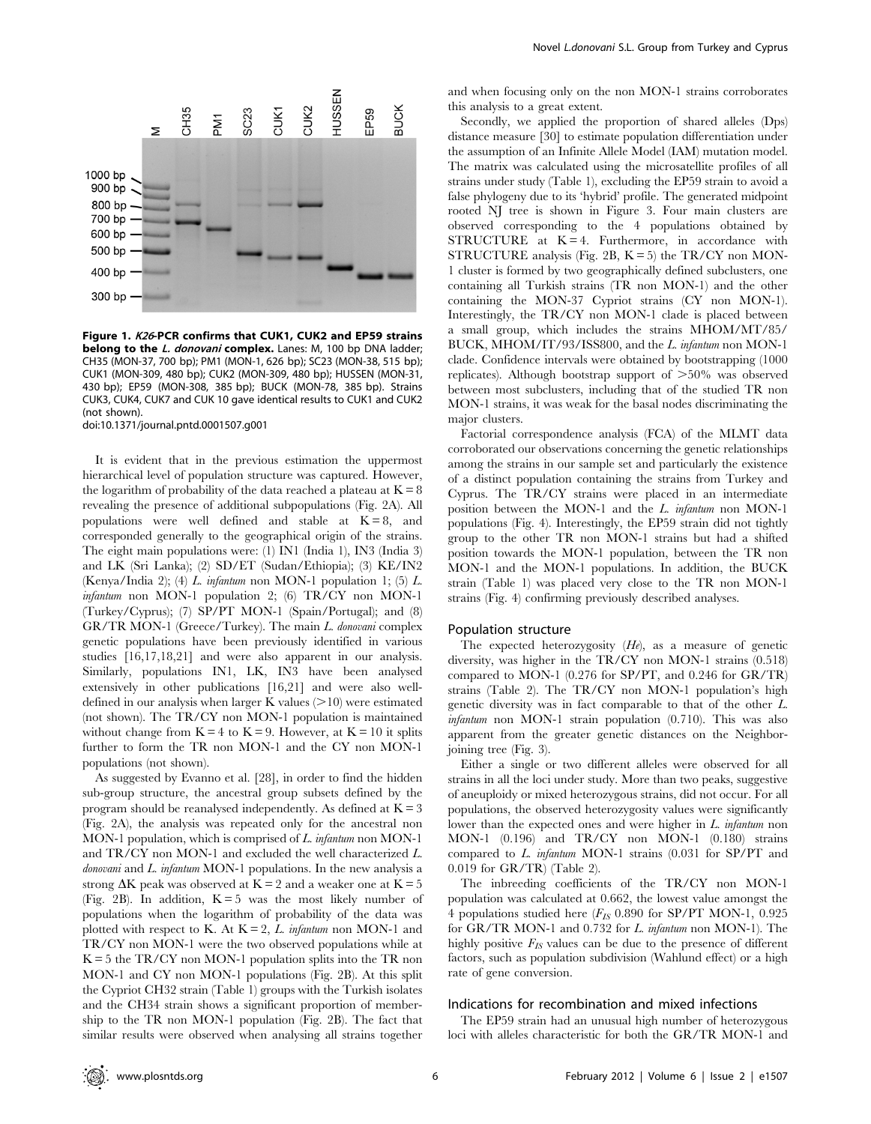

Figure 1. K26-PCR confirms that CUK1, CUK2 and EP59 strains belong to the L. donovani complex. Lanes: M, 100 bp DNA ladder; CH35 (MON-37, 700 bp); PM1 (MON-1, 626 bp); SC23 (MON-38, 515 bp); CUK1 (MON-309, 480 bp); CUK2 (MON-309, 480 bp); HUSSEN (MON-31, 430 bp); EP59 (MON-308, 385 bp); BUCK (MON-78, 385 bp). Strains CUK3, CUK4, CUK7 and CUK 10 gave identical results to CUK1 and CUK2 (not shown).

doi:10.1371/journal.pntd.0001507.g001

It is evident that in the previous estimation the uppermost hierarchical level of population structure was captured. However, the logarithm of probability of the data reached a plateau at  $K = 8$ revealing the presence of additional subpopulations (Fig. 2A). All populations were well defined and stable at  $K = 8$ , and corresponded generally to the geographical origin of the strains. The eight main populations were: (1) IN1 (India 1), IN3 (India 3) and LK (Sri Lanka); (2) SD/ET (Sudan/Ethiopia); (3) KE/IN2 (Kenya/India 2); (4) L. infantum non MON-1 population 1; (5) L. infantum non MON-1 population 2; (6) TR/CY non MON-1 (Turkey/Cyprus); (7) SP/PT MON-1 (Spain/Portugal); and (8) GR/TR MON-1 (Greece/Turkey). The main L. donovani complex genetic populations have been previously identified in various studies [16,17,18,21] and were also apparent in our analysis. Similarly, populations IN1, LK, IN3 have been analysed extensively in other publications [16,21] and were also welldefined in our analysis when larger K values  $(>10)$  were estimated (not shown). The TR/CY non MON-1 population is maintained without change from  $K = 4$  to  $K = 9$ . However, at  $K = 10$  it splits further to form the TR non MON-1 and the CY non MON-1 populations (not shown).

As suggested by Evanno et al. [28], in order to find the hidden sub-group structure, the ancestral group subsets defined by the program should be reanalysed independently. As defined at  $K = 3$ (Fig. 2A), the analysis was repeated only for the ancestral non MON-1 population, which is comprised of L. infantum non MON-1 and TR/CY non MON-1 and excluded the well characterized L. donovani and L. infantum MON-1 populations. In the new analysis a strong  $\Delta K$  peak was observed at  $K = 2$  and a weaker one at  $K = 5$ (Fig. 2B). In addition,  $K = 5$  was the most likely number of populations when the logarithm of probability of the data was plotted with respect to K. At  $K = 2$ , L. infantum non MON-1 and TR/CY non MON-1 were the two observed populations while at  $K = 5$  the TR/CY non MON-1 population splits into the TR non MON-1 and CY non MON-1 populations (Fig. 2B). At this split the Cypriot CH32 strain (Table 1) groups with the Turkish isolates and the CH34 strain shows a significant proportion of membership to the TR non MON-1 population (Fig. 2B). The fact that similar results were observed when analysing all strains together

and when focusing only on the non MON-1 strains corroborates this analysis to a great extent.

Secondly, we applied the proportion of shared alleles (Dps) distance measure [30] to estimate population differentiation under the assumption of an Infinite Allele Model (IAM) mutation model. The matrix was calculated using the microsatellite profiles of all strains under study (Table 1), excluding the EP59 strain to avoid a false phylogeny due to its 'hybrid' profile. The generated midpoint rooted NJ tree is shown in Figure 3. Four main clusters are observed corresponding to the 4 populations obtained by STRUCTURE at  $K = 4$ . Furthermore, in accordance with STRUCTURE analysis (Fig. 2B,  $K = 5$ ) the TR/CY non MON-1 cluster is formed by two geographically defined subclusters, one containing all Turkish strains (TR non MON-1) and the other containing the MON-37 Cypriot strains (CY non MON-1). Interestingly, the TR/CY non MON-1 clade is placed between a small group, which includes the strains MHOM/MT/85/ BUCK, MHOM/IT/93/ISS800, and the L. infantum non MON-1 clade. Confidence intervals were obtained by bootstrapping (1000 replicates). Although bootstrap support of  $>50\%$  was observed between most subclusters, including that of the studied TR non MON-1 strains, it was weak for the basal nodes discriminating the major clusters.

Factorial correspondence analysis (FCA) of the MLMT data corroborated our observations concerning the genetic relationships among the strains in our sample set and particularly the existence of a distinct population containing the strains from Turkey and Cyprus. The TR/CY strains were placed in an intermediate position between the MON-1 and the L. infantum non MON-1 populations (Fig. 4). Interestingly, the EP59 strain did not tightly group to the other TR non MON-1 strains but had a shifted position towards the MON-1 population, between the TR non MON-1 and the MON-1 populations. In addition, the BUCK strain (Table 1) was placed very close to the TR non MON-1 strains (Fig. 4) confirming previously described analyses.

#### Population structure

The expected heterozygosity  $(H_e)$ , as a measure of genetic diversity, was higher in the TR/CY non MON-1 strains (0.518) compared to MON-1 (0.276 for SP/PT, and 0.246 for GR/TR) strains (Table 2). The TR/CY non MON-1 population's high genetic diversity was in fact comparable to that of the other L. infantum non MON-1 strain population (0.710). This was also apparent from the greater genetic distances on the Neighborjoining tree (Fig. 3).

Either a single or two different alleles were observed for all strains in all the loci under study. More than two peaks, suggestive of aneuploidy or mixed heterozygous strains, did not occur. For all populations, the observed heterozygosity values were significantly lower than the expected ones and were higher in L. *infantum* non MON-1 (0.196) and TR/CY non MON-1 (0.180) strains compared to L. infantum MON-1 strains (0.031 for SP/PT and 0.019 for GR/TR) (Table 2).

The inbreeding coefficients of the TR/CY non MON-1 population was calculated at 0.662, the lowest value amongst the 4 populations studied here  $(F_{IS}$  0.890 for SP/PT MON-1, 0.925 for GR/TR MON-1 and 0.732 for L. infantum non MON-1). The highly positive  $F_{IS}$  values can be due to the presence of different factors, such as population subdivision (Wahlund effect) or a high rate of gene conversion.

#### Indications for recombination and mixed infections

The EP59 strain had an unusual high number of heterozygous loci with alleles characteristic for both the GR/TR MON-1 and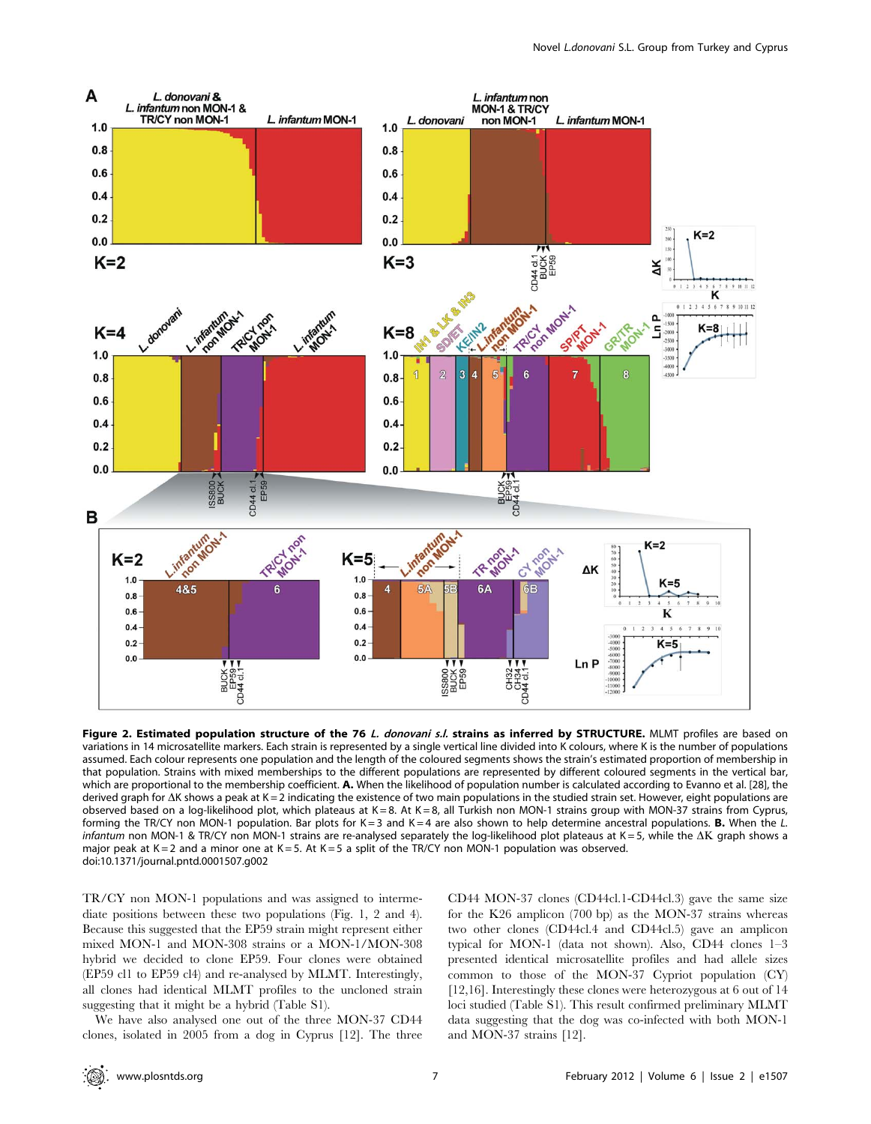

Figure 2. Estimated population structure of the 76 L. donovani s.l. strains as inferred by STRUCTURE. MLMT profiles are based on variations in 14 microsatellite markers. Each strain is represented by a single vertical line divided into K colours, where K is the number of populations assumed. Each colour represents one population and the length of the coloured segments shows the strain's estimated proportion of membership in that population. Strains with mixed memberships to the different populations are represented by different coloured segments in the vertical bar, which are proportional to the membership coefficient. A. When the likelihood of population number is calculated according to Evanno et al. [28], the derived graph for  $\Delta K$  shows a peak at K = 2 indicating the existence of two main populations in the studied strain set. However, eight populations are observed based on a log-likelihood plot, which plateaus at  $K = 8$ . At  $K = 8$ , all Turkish non MON-1 strains group with MON-37 strains from Cyprus, forming the TR/CY non MON-1 population. Bar plots for K=3 and K=4 are also shown to help determine ancestral populations. **B.** When the L. infantum non MON-1 & TR/CY non MON-1 strains are re-analysed separately the log-likelihood plot plateaus at K = 5, while the  $\Delta K$  graph shows a major peak at  $K = 2$  and a minor one at  $K = 5$ . At  $K = 5$  a split of the TR/CY non MON-1 population was observed. doi:10.1371/journal.pntd.0001507.g002

TR/CY non MON-1 populations and was assigned to intermediate positions between these two populations (Fig. 1, 2 and 4). Because this suggested that the EP59 strain might represent either mixed MON-1 and MON-308 strains or a MON-1/MON-308 hybrid we decided to clone EP59. Four clones were obtained (EP59 cl1 to EP59 cl4) and re-analysed by MLMT. Interestingly, all clones had identical MLMT profiles to the uncloned strain suggesting that it might be a hybrid (Table S1).

We have also analysed one out of the three MON-37 CD44 clones, isolated in 2005 from a dog in Cyprus [12]. The three

CD44 MON-37 clones (CD44cl.1-CD44cl.3) gave the same size for the K26 amplicon (700 bp) as the MON-37 strains whereas two other clones (CD44cl.4 and CD44cl.5) gave an amplicon typical for MON-1 (data not shown). Also, CD44 clones 1–3 presented identical microsatellite profiles and had allele sizes common to those of the MON-37 Cypriot population (CY) [12,16]. Interestingly these clones were heterozygous at 6 out of 14 loci studied (Table S1). This result confirmed preliminary MLMT data suggesting that the dog was co-infected with both MON-1 and MON-37 strains [12].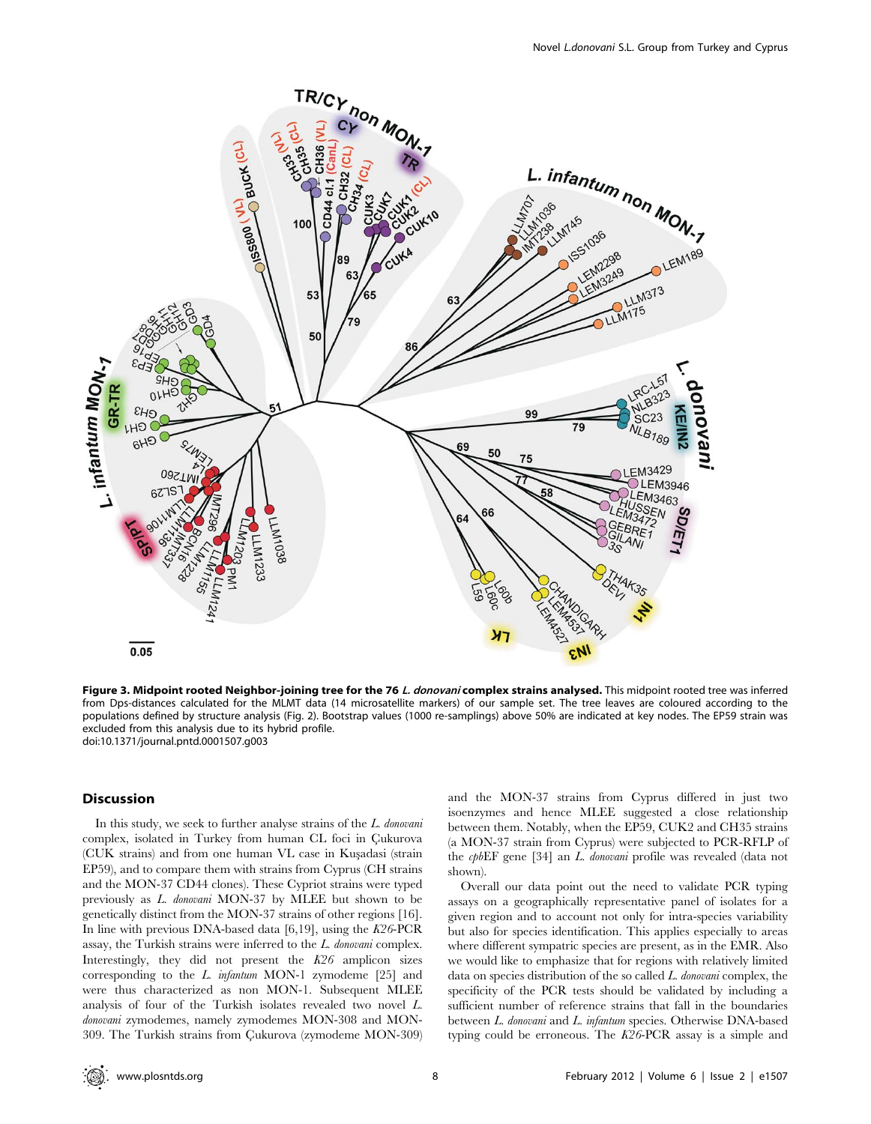

Figure 3. Midpoint rooted Neighbor-joining tree for the 76 L. donovani complex strains analysed. This midpoint rooted tree was inferred from Dps-distances calculated for the MLMT data (14 microsatellite markers) of our sample set. The tree leaves are coloured according to the populations defined by structure analysis (Fig. 2). Bootstrap values (1000 re-samplings) above 50% are indicated at key nodes. The EP59 strain was excluded from this analysis due to its hybrid profile. doi:10.1371/journal.pntd.0001507.g003

# Discussion

In this study, we seek to further analyse strains of the L. donovani complex, isolated in Turkey from human CL foci in Cukurova (CUK strains) and from one human VL case in Kusadasi (strain EP59), and to compare them with strains from Cyprus (CH strains and the MON-37 CD44 clones). These Cypriot strains were typed previously as L. donovani MON-37 by MLEE but shown to be genetically distinct from the MON-37 strains of other regions [16]. In line with previous DNA-based data  $[6,19]$ , using the K26-PCR assay, the Turkish strains were inferred to the L. donovani complex. Interestingly, they did not present the K26 amplicon sizes corresponding to the L. infantum MON-1 zymodeme [25] and were thus characterized as non MON-1. Subsequent MLEE analysis of four of the Turkish isolates revealed two novel L. donovani zymodemes, namely zymodemes MON-308 and MON-309. The Turkish strains from Çukurova (zymodeme MON-309) and the MON-37 strains from Cyprus differed in just two isoenzymes and hence MLEE suggested a close relationship between them. Notably, when the EP59, CUK2 and CH35 strains (a MON-37 strain from Cyprus) were subjected to PCR-RFLP of the cpbEF gene [34] an L. donovani profile was revealed (data not shown).

Overall our data point out the need to validate PCR typing assays on a geographically representative panel of isolates for a given region and to account not only for intra-species variability but also for species identification. This applies especially to areas where different sympatric species are present, as in the EMR. Also we would like to emphasize that for regions with relatively limited data on species distribution of the so called L. donovani complex, the specificity of the PCR tests should be validated by including a sufficient number of reference strains that fall in the boundaries between L. donovani and L. infantum species. Otherwise DNA-based typing could be erroneous. The K26-PCR assay is a simple and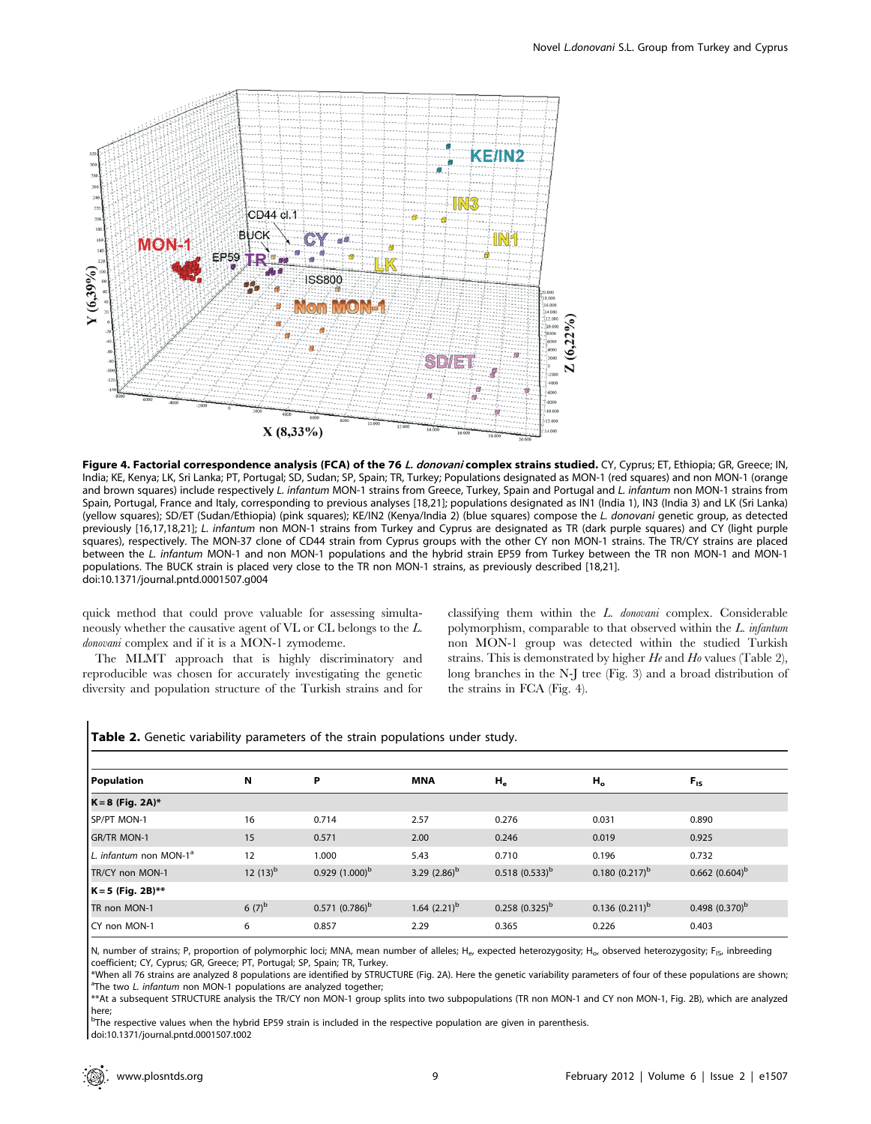

Figure 4. Factorial correspondence analysis (FCA) of the 76 L. donovani complex strains studied. CY, Cyprus; ET, Ethiopia; GR, Greece; IN, India; KE, Kenya; LK, Sri Lanka; PT, Portugal; SD, Sudan; SP, Spain; TR, Turkey; Populations designated as MON-1 (red squares) and non MON-1 (orange and brown squares) include respectively L. infantum MON-1 strains from Greece, Turkey, Spain and Portugal and L. infantum non MON-1 strains from Spain, Portugal, France and Italy, corresponding to previous analyses [18,21]; populations designated as IN1 (India 1), IN3 (India 3) and LK (Sri Lanka) (yellow squares); SD/ET (Sudan/Ethiopia) (pink squares); KE/IN2 (Kenya/India 2) (blue squares) compose the L. donovani genetic group, as detected previously [16,17,18,21]; L. infantum non MON-1 strains from Turkey and Cyprus are designated as TR (dark purple squares) and CY (light purple squares), respectively. The MON-37 clone of CD44 strain from Cyprus groups with the other CY non MON-1 strains. The TR/CY strains are placed between the L. infantum MON-1 and non MON-1 populations and the hybrid strain EP59 from Turkey between the TR non MON-1 and MON-1 populations. The BUCK strain is placed very close to the TR non MON-1 strains, as previously described [18,21]. doi:10.1371/journal.pntd.0001507.g004

quick method that could prove valuable for assessing simultaneously whether the causative agent of VL or CL belongs to the L. donovani complex and if it is a MON-1 zymodeme.

The MLMT approach that is highly discriminatory and reproducible was chosen for accurately investigating the genetic diversity and population structure of the Turkish strains and for classifying them within the L. donovani complex. Considerable polymorphism, comparable to that observed within the L. infantum non MON-1 group was detected within the studied Turkish strains. This is demonstrated by higher  $He$  and  $Ho$  values (Table 2), long branches in the N-J tree (Fig. 3) and a broad distribution of the strains in FCA (Fig. 4).

| Population                         | N             | P                | <b>MNA</b>        | $H_e$            | $H_o$              | $F_{IS}$         |  |
|------------------------------------|---------------|------------------|-------------------|------------------|--------------------|------------------|--|
| $K = 8$ (Fig. 2A)*                 |               |                  |                   |                  |                    |                  |  |
| SP/PT MON-1                        | 16            | 0.714            | 2.57              | 0.276            | 0.031              | 0.890            |  |
| <b>GR/TR MON-1</b>                 | 15            | 0.571            | 2.00              | 0.246            | 0.019              | 0.925            |  |
| L. infantum non MON-1 <sup>a</sup> | 12            | 1.000            | 5.43              | 0.710            | 0.196              | 0.732            |  |
| TR/CY non MON-1                    | 12 $(13)^{b}$ | $0.929(1.000)^b$ | 3.29 $(2.86)^b$   | $0.518(0.533)^b$ | $0.180(0.217)^{b}$ | $0.662(0.604)^b$ |  |
| $K = 5$ (Fig. 2B)**                |               |                  |                   |                  |                    |                  |  |
| TR non MON-1                       | $6(7)^{b}$    | $0.571(0.786)^b$ | 1.64 $(2.21)^{b}$ | $0.258(0.325)^b$ | $0.136(0.211)^b$   | $0.498(0.370)^b$ |  |
| CY non MON-1                       | 6             | 0.857            | 2.29              | 0.365            | 0.226              | 0.403            |  |

## Table 2. Genetic variability parameters of the strain populations under study.

N, number of strains; P, proportion of polymorphic loci; MNA, mean number of alleles; He, expected heterozygosity; H<sub>o</sub>, observed heterozygosity; F<sub>IS</sub>, inbreeding coefficient; CY, Cyprus; GR, Greece; PT, Portugal; SP, Spain; TR, Turkey.

\*When all 76 strains are analyzed 8 populations are identified by STRUCTURE (Fig. 2A). Here the genetic variability parameters of four of these populations are shown; <sup>a</sup> <sup>a</sup>The two L. infantum non MON-1 populations are analyzed together;

\*\*At a subsequent STRUCTURE analysis the TR/CY non MON-1 group splits into two subpopulations (TR non MON-1 and CY non MON-1, Fig. 2B), which are analyzed here;

<sup>b</sup>The respective values when the hybrid EP59 strain is included in the respective population are given in parenthesis. doi:10.1371/journal.pntd.0001507.t002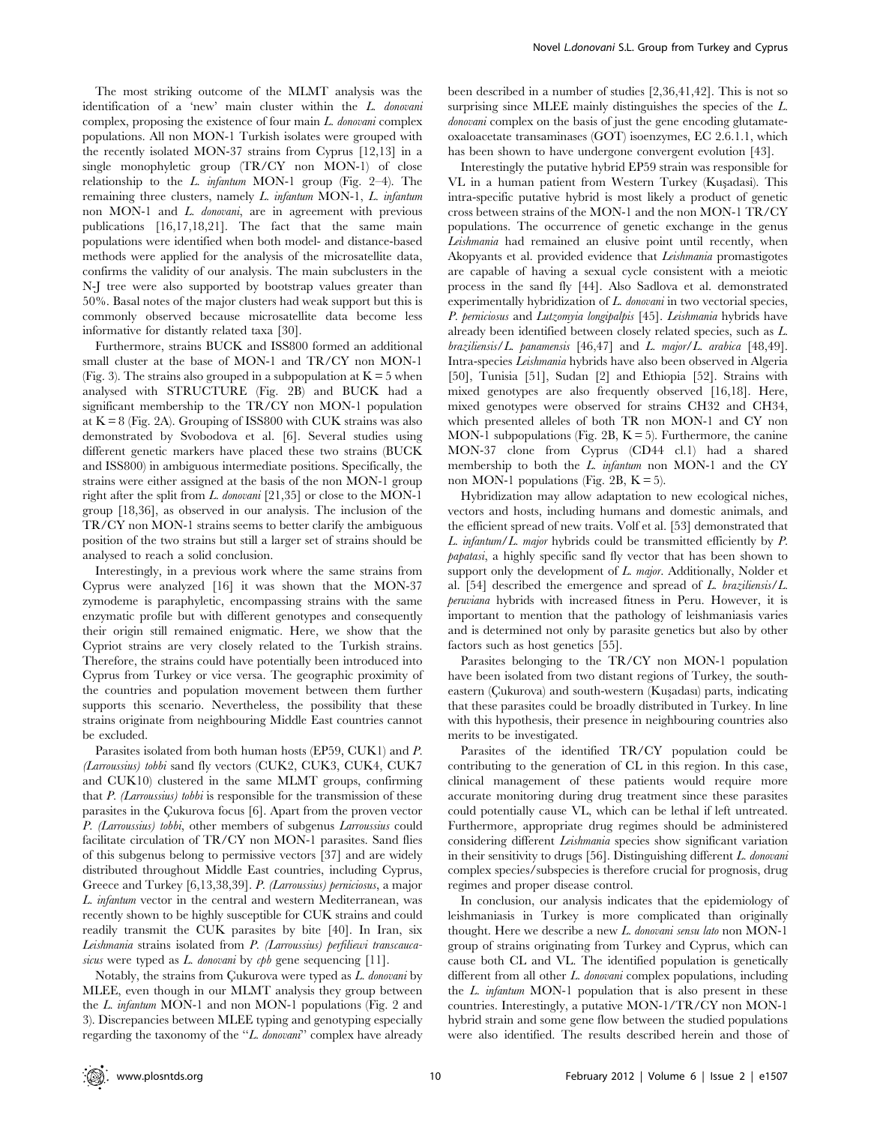The most striking outcome of the MLMT analysis was the identification of a 'new' main cluster within the L. donovani complex, proposing the existence of four main  $L$  *donovani* complex populations. All non MON-1 Turkish isolates were grouped with the recently isolated MON-37 strains from Cyprus [12,13] in a single monophyletic group (TR/CY non MON-1) of close relationship to the L. infantum MON-1 group (Fig.  $2-4$ ). The remaining three clusters, namely L. infantum MON-1, L. infantum non MON-1 and L. donovani, are in agreement with previous publications [16,17,18,21]. The fact that the same main populations were identified when both model- and distance-based methods were applied for the analysis of the microsatellite data, confirms the validity of our analysis. The main subclusters in the N-J tree were also supported by bootstrap values greater than 50%. Basal notes of the major clusters had weak support but this is commonly observed because microsatellite data become less informative for distantly related taxa [30].

Furthermore, strains BUCK and ISS800 formed an additional small cluster at the base of MON-1 and TR/CY non MON-1 (Fig. 3). The strains also grouped in a subpopulation at  $K = 5$  when analysed with STRUCTURE (Fig. 2B) and BUCK had a significant membership to the TR/CY non MON-1 population at  $K = 8$  (Fig. 2A). Grouping of ISS800 with CUK strains was also demonstrated by Svobodova et al. [6]. Several studies using different genetic markers have placed these two strains (BUCK and ISS800) in ambiguous intermediate positions. Specifically, the strains were either assigned at the basis of the non MON-1 group right after the split from L. donovani [21,35] or close to the MON-1 group [18,36], as observed in our analysis. The inclusion of the TR/CY non MON-1 strains seems to better clarify the ambiguous position of the two strains but still a larger set of strains should be analysed to reach a solid conclusion.

Interestingly, in a previous work where the same strains from Cyprus were analyzed [16] it was shown that the MON-37 zymodeme is paraphyletic, encompassing strains with the same enzymatic profile but with different genotypes and consequently their origin still remained enigmatic. Here, we show that the Cypriot strains are very closely related to the Turkish strains. Therefore, the strains could have potentially been introduced into Cyprus from Turkey or vice versa. The geographic proximity of the countries and population movement between them further supports this scenario. Nevertheless, the possibility that these strains originate from neighbouring Middle East countries cannot be excluded.

Parasites isolated from both human hosts (EP59, CUK1) and P. (Larroussius) tobbi sand fly vectors (CUK2, CUK3, CUK4, CUK7 and CUK10) clustered in the same MLMT groups, confirming that  $P$ . (Larroussius) tobbi is responsible for the transmission of these parasites in the Çukurova focus [6]. Apart from the proven vector P. (Larroussius) tobbi, other members of subgenus Larroussius could facilitate circulation of TR/CY non MON-1 parasites. Sand flies of this subgenus belong to permissive vectors [37] and are widely distributed throughout Middle East countries, including Cyprus, Greece and Turkey [6,13,38,39]. P. (Larroussius) perniciosus, a major L. infantum vector in the central and western Mediterranean, was recently shown to be highly susceptible for CUK strains and could readily transmit the CUK parasites by bite [40]. In Iran, six Leishmania strains isolated from P. (Larroussius) perfiliewi transcaucasicus were typed as L. donovani by cpb gene sequencing [11].

Notably, the strains from Cukurova were typed as  $L$ . donovani by MLEE, even though in our MLMT analysis they group between the L. infantum MON-1 and non MON-1 populations (Fig. 2 and 3). Discrepancies between MLEE typing and genotyping especially regarding the taxonomy of the "L. donovani" complex have already

been described in a number of studies [2,36,41,42]. This is not so surprising since MLEE mainly distinguishes the species of the L. donovani complex on the basis of just the gene encoding glutamateoxaloacetate transaminases (GOT) isoenzymes, EC 2.6.1.1, which has been shown to have undergone convergent evolution [43].

Interestingly the putative hybrid EP59 strain was responsible for VL in a human patient from Western Turkey (Kusadasi). This intra-specific putative hybrid is most likely a product of genetic cross between strains of the MON-1 and the non MON-1 TR/CY populations. The occurrence of genetic exchange in the genus Leishmania had remained an elusive point until recently, when Akopyants et al. provided evidence that Leishmania promastigotes are capable of having a sexual cycle consistent with a meiotic process in the sand fly [44]. Also Sadlova et al. demonstrated experimentally hybridization of  $L.$  donovani in two vectorial species, P. perniciosus and Lutzomyia longipalpis [45]. Leishmania hybrids have already been identified between closely related species, such as L. braziliensis/L. panamensis  $[46, 47]$  and L. major/L. arabica  $[48, 49]$ . Intra-species Leishmania hybrids have also been observed in Algeria [50], Tunisia [51], Sudan [2] and Ethiopia [52]. Strains with mixed genotypes are also frequently observed [16,18]. Here, mixed genotypes were observed for strains CH32 and CH34, which presented alleles of both TR non MON-1 and CY non MON-1 subpopulations (Fig. 2B,  $K = 5$ ). Furthermore, the canine MON-37 clone from Cyprus (CD44 cl.1) had a shared membership to both the L. infantum non MON-1 and the CY non MON-1 populations (Fig. 2B,  $K = 5$ ).

Hybridization may allow adaptation to new ecological niches, vectors and hosts, including humans and domestic animals, and the efficient spread of new traits. Volf et al. [53] demonstrated that L. infantum/L. major hybrids could be transmitted efficiently by P. papatasi, a highly specific sand fly vector that has been shown to support only the development of L. major. Additionally, Nolder et al. [54] described the emergence and spread of  $L$ . braziliensis/ $L$ . peruviana hybrids with increased fitness in Peru. However, it is important to mention that the pathology of leishmaniasis varies and is determined not only by parasite genetics but also by other factors such as host genetics [55].

Parasites belonging to the TR/CY non MON-1 population have been isolated from two distant regions of Turkey, the southeastern (Cukurova) and south-western (Kuşadası) parts, indicating that these parasites could be broadly distributed in Turkey. In line with this hypothesis, their presence in neighbouring countries also merits to be investigated.

Parasites of the identified TR/CY population could be contributing to the generation of CL in this region. In this case, clinical management of these patients would require more accurate monitoring during drug treatment since these parasites could potentially cause VL, which can be lethal if left untreated. Furthermore, appropriate drug regimes should be administered considering different *Leishmania* species show significant variation in their sensitivity to drugs [56]. Distinguishing different L. donovani complex species/subspecies is therefore crucial for prognosis, drug regimes and proper disease control.

In conclusion, our analysis indicates that the epidemiology of leishmaniasis in Turkey is more complicated than originally thought. Here we describe a new L. donovani sensu lato non MON-1 group of strains originating from Turkey and Cyprus, which can cause both CL and VL. The identified population is genetically different from all other L. donovani complex populations, including the L. infantum MON-1 population that is also present in these countries. Interestingly, a putative MON-1/TR/CY non MON-1 hybrid strain and some gene flow between the studied populations were also identified. The results described herein and those of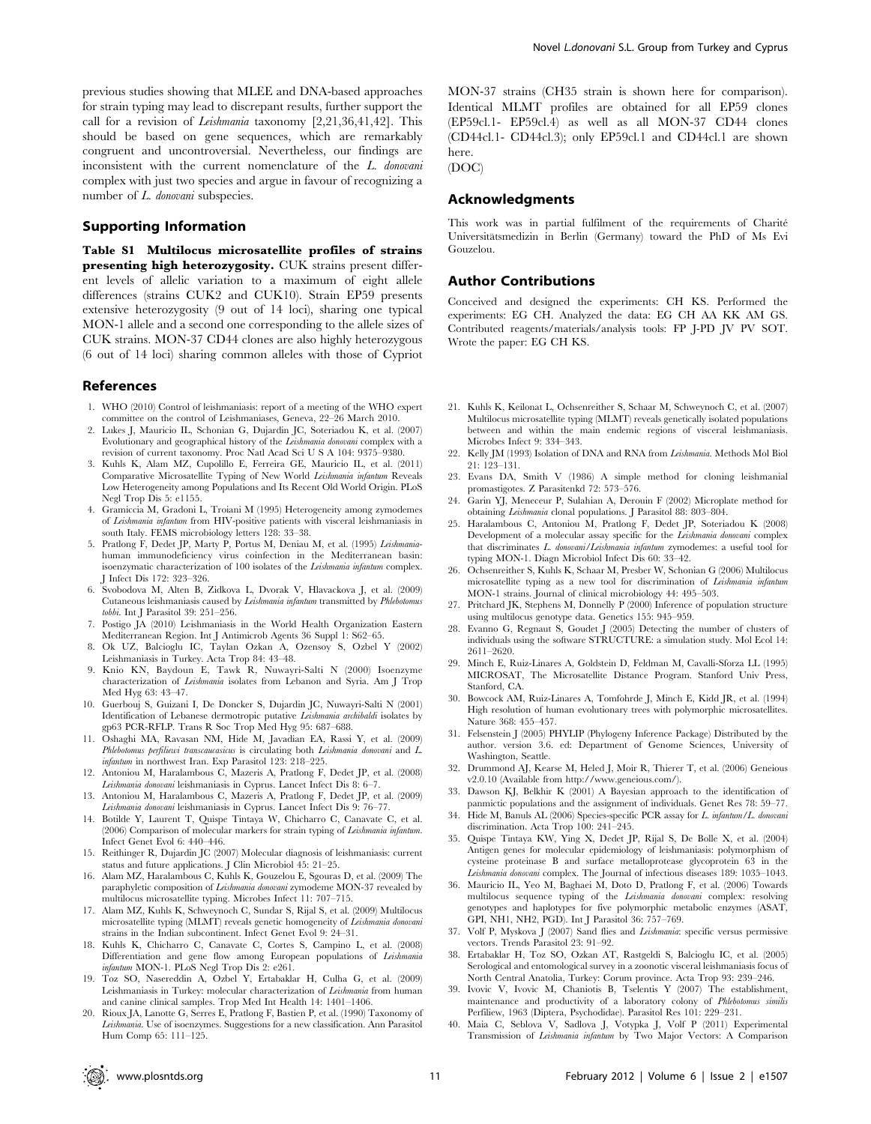previous studies showing that MLEE and DNA-based approaches for strain typing may lead to discrepant results, further support the call for a revision of Leishmania taxonomy [2,21,36,41,42]. This should be based on gene sequences, which are remarkably congruent and uncontroversial. Nevertheless, our findings are inconsistent with the current nomenclature of the L. donovani complex with just two species and argue in favour of recognizing a number of L. donovani subspecies.

## Supporting Information

Table S1 Multilocus microsatellite profiles of strains presenting high heterozygosity. CUK strains present different levels of allelic variation to a maximum of eight allele differences (strains CUK2 and CUK10). Strain EP59 presents extensive heterozygosity (9 out of 14 loci), sharing one typical MON-1 allele and a second one corresponding to the allele sizes of CUK strains. MON-37 CD44 clones are also highly heterozygous (6 out of 14 loci) sharing common alleles with those of Cypriot

#### References

- 1. WHO (2010) Control of leishmaniasis: report of a meeting of the WHO expert committee on the control of Leishmaniases, Geneva, 22–26 March 2010.
- 2. Lukes J, Mauricio IL, Schonian G, Dujardin JC, Soteriadou K, et al. (2007) Evolutionary and geographical history of the Leishmania donovani complex with a revision of current taxonomy. Proc Natl Acad Sci U S A 104: 9375–9380.
- 3. Kuhls K, Alam MZ, Cupolillo E, Ferreira GE, Mauricio IL, et al. (2011) Comparative Microsatellite Typing of New World Leishmania infantum Reveals Low Heterogeneity among Populations and Its Recent Old World Origin. PLoS Negl Trop Dis 5: e1155.
- 4. Gramiccia M, Gradoni L, Troiani M (1995) Heterogeneity among zymodemes of Leishmania infantum from HIV-positive patients with visceral leishmaniasis in south Italy. FEMS microbiology letters 128: 33–38.
- 5. Pratlong F, Dedet JP, Marty P, Portus M, Deniau M, et al. (1995) Leishmaniahuman immunodeficiency virus coinfection in the Mediterranean basin: isoenzymatic characterization of 100 isolates of the Leishmania infantum complex. J Infect Dis 172: 323–326.
- 6. Svobodova M, Alten B, Zidkova L, Dvorak V, Hlavackova J, et al. (2009) Cutaneous leishmaniasis caused by Leishmania infantum transmitted by Phlebotomus tobbi. Int J Parasitol 39: 251–256.
- 7. Postigo JA (2010) Leishmaniasis in the World Health Organization Eastern Mediterranean Region. Int J Antimicrob Agents 36 Suppl 1: S62–65.
- 8. Ok UZ, Balcioglu IC, Taylan Ozkan A, Ozensoy S, Ozbel Y (2002) Leishmaniasis in Turkey. Acta Trop 84: 43–48.
- 9. Knio KN, Baydoun E, Tawk R, Nuwayri-Salti N (2000) Isoenzyme characterization of Leishmania isolates from Lebanon and Syria. Am J Trop Med Hyg 63: 43–47.
- 10. Guerbouj S, Guizani I, De Doncker S, Dujardin JC, Nuwayri-Salti N (2001) Identification of Lebanese dermotropic putative Leishmania archibaldi isolates by gp63 PCR-RFLP. Trans R Soc Trop Med Hyg 95: 687–688.
- 11. Oshaghi MA, Ravasan NM, Hide M, Javadian EA, Rassi Y, et al. (2009) Phlebotomus perfiliewi transcaucasicus is circulating both Leishmania donovani and L. infantum in northwest Iran. Exp Parasitol 123: 218–225.
- 12. Antoniou M, Haralambous C, Mazeris A, Pratlong F, Dedet JP, et al. (2008) Leishmania donovani leishmaniasis in Cyprus. Lancet Infect Dis 8: 6–7.
- 13. Antoniou M, Haralambous C, Mazeris A, Pratlong F, Dedet JP, et al. (2009) Leishmania donovani leishmaniasis in Cyprus. Lancet Infect Dis 9: 76–77.
- 14. Botilde Y, Laurent T, Quispe Tintaya W, Chicharro C, Canavate C, et al. (2006) Comparison of molecular markers for strain typing of Leishmania infantum. Infect Genet Evol 6: 440–446.
- 15. Reithinger R, Dujardin JC (2007) Molecular diagnosis of leishmaniasis: current status and future applications. J Clin Microbiol 45: 21–25.
- 16. Alam MZ, Haralambous C, Kuhls K, Gouzelou E, Sgouras D, et al. (2009) The paraphyletic composition of Leishmania donovani zymodeme MON-37 revealed by multilocus microsatellite typing. Microbes Infect 11: 707–715.
- 17. Alam MZ, Kuhls K, Schweynoch C, Sundar S, Rijal S, et al. (2009) Multilocus microsatellite typing (MLMT) reveals genetic homogeneity of Leishmania donovani strains in the Indian subcontinent. Infect Genet Evol 9: 24–31.
- 18. Kuhls K, Chicharro C, Canavate C, Cortes S, Campino L, et al. (2008) Differentiation and gene flow among European populations of Leishmania infantum MON-1. PLoS Negl Trop Dis 2: e261.
- 19. Toz SO, Nasereddin A, Ozbel Y, Ertabaklar H, Culha G, et al. (2009) Leishmaniasis in Turkey: molecular characterization of Leishmania from human and canine clinical samples. Trop Med Int Health 14: 1401–1406.
- 20. Rioux JA, Lanotte G, Serres E, Pratlong F, Bastien P, et al. (1990) Taxonomy of Leishmania. Use of isoenzymes. Suggestions for a new classification. Ann Parasitol Hum Comp 65: 111–125.

MON-37 strains (CH35 strain is shown here for comparison). Identical MLMT profiles are obtained for all EP59 clones (EP59cl.1- EP59cl.4) as well as all MON-37 CD44 clones (CD44cl.1- CD44cl.3); only EP59cl.1 and CD44cl.1 are shown here.

(DOC)

# Acknowledgments

This work was in partial fulfilment of the requirements of Charité Universitätsmedizin in Berlin (Germany) toward the PhD of Ms Evi Gouzelou.

# Author Contributions

Conceived and designed the experiments: CH KS. Performed the experiments: EG CH. Analyzed the data: EG CH AA KK AM GS. Contributed reagents/materials/analysis tools: FP J-PD JV PV SOT. Wrote the paper: EG CH KS.

- 21. Kuhls K, Keilonat L, Ochsenreither S, Schaar M, Schweynoch C, et al. (2007) Multilocus microsatellite typing (MLMT) reveals genetically isolated populations between and within the main endemic regions of visceral leishmaniasis. Microbes Infect 9: 334–343.
- 22. Kelly JM (1993) Isolation of DNA and RNA from Leishmania. Methods Mol Biol 21: 123–131.
- 23. Evans DA, Smith V (1986) A simple method for cloning leishmanial promastigotes. Z Parasitenkd 72: 573–576.
- 24. Garin YJ, Meneceur P, Sulahian A, Derouin F (2002) Microplate method for obtaining Leishmania clonal populations. J Parasitol 88: 803–804.
- 25. Haralambous C, Antoniou M, Pratlong F, Dedet JP, Soteriadou K (2008) Development of a molecular assay specific for the Leishmania donovani complex that discriminates L. donovani/Leishmania infantum zymodemes: a useful tool for typing MON-1. Diagn Microbiol Infect Dis 60: 33–42.
- 26. Ochsenreither S, Kuhls K, Schaar M, Presber W, Schonian G (2006) Multilocus microsatellite typing as a new tool for discrimination of Leishmania infantum MON-1 strains. Journal of clinical microbiology 44: 495–503.
- 27. Pritchard JK, Stephens M, Donnelly P (2000) Inference of population structure using multilocus genotype data. Genetics 155: 945–959.
- 28. Evanno G, Regnaut S, Goudet J (2005) Detecting the number of clusters of individuals using the software STRUCTURE: a simulation study. Mol Ecol 14: 2611–2620.
- 29. Minch E, Ruiz-Linares A, Goldstein D, Feldman M, Cavalli-Sforza LL (1995) MICROSAT, The Microsatellite Distance Program. Stanford Univ Press, Stanford, CA.
- 30. Bowcock AM, Ruiz-Linares A, Tomfohrde J, Minch E, Kidd JR, et al. (1994) High resolution of human evolutionary trees with polymorphic microsatellites. Nature 368: 455–457.
- 31. Felsenstein J (2005) PHYLIP (Phylogeny Inference Package) Distributed by the author. version 3.6. ed: Department of Genome Sciences, University of Washington, Seattle.
- 32. Drummond AJ, Kearse M, Heled J, Moir R, Thierer T, et al. (2006) Geneious v2.0.10 (Available from http://www.geneious.com/).
- 33. Dawson KJ, Belkhir K (2001) A Bayesian approach to the identification of panmictic populations and the assignment of individuals. Genet Res 78: 59–77.
- 34. Hide M, Banuls AL (2006) Species-specific PCR assay for L. infantum/L. donovani discrimination. Acta Trop 100: 241–245.
- 35. Quispe Tintaya KW, Ying X, Dedet JP, Rijal S, De Bolle X, et al. (2004) Antigen genes for molecular epidemiology of leishmaniasis: polymorphism of cysteine proteinase B and surface metalloprotease glycoprotein 63 in the Leishmania donovani complex. The Journal of infectious diseases 189: 1035–1043.
- 36. Mauricio IL, Yeo M, Baghaei M, Doto D, Pratlong F, et al. (2006) Towards multilocus sequence typing of the Leishmania donovani complex: resolving genotypes and haplotypes for five polymorphic metabolic enzymes (ASAT, GPI, NH1, NH2, PGD). Int J Parasitol 36: 757–769.
- 37. Volf P, Myskova J (2007) Sand flies and Leishmania: specific versus permissive vectors. Trends Parasitol 23: 91–92.
- 38. Ertabaklar H, Toz SO, Ozkan AT, Rastgeldi S, Balcioglu IC, et al. (2005) Serological and entomological survey in a zoonotic visceral leishmaniasis focus of North Central Anatolia, Turkey: Corum province. Acta Trop 93: 239–246.
- 39. Ivovic V, Ivovic M, Chaniotis B, Tselentis Y (2007) The establishment, maintenance and productivity of a laboratory colony of Phlebotomus similis Perfiliew, 1963 (Diptera, Psychodidae). Parasitol Res 101: 229–231.
- 40. Maia C, Seblova V, Sadlova J, Votypka J, Volf P (2011) Experimental Transmission of Leishmania infantum by Two Major Vectors: A Comparison